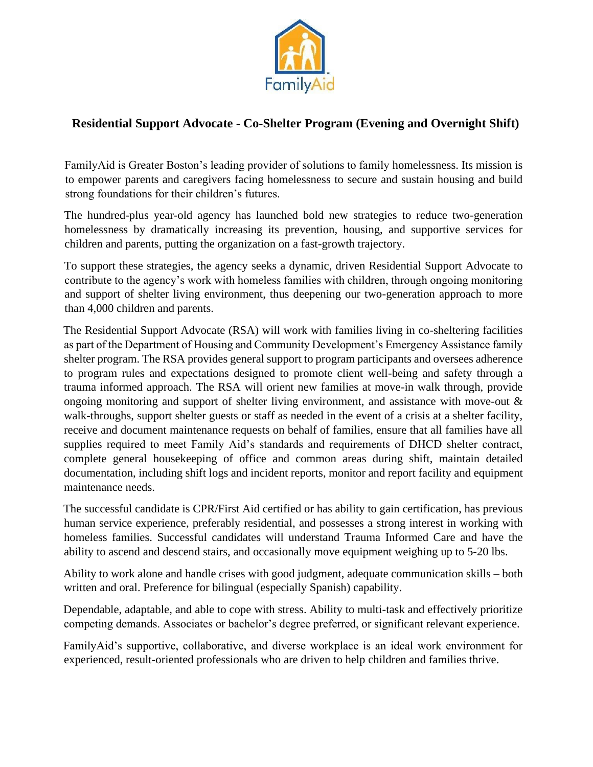

# **Residential Support Advocate - Co-Shelter Program (Evening and Overnight Shift)**

FamilyAid is Greater Boston's leading provider of solutions to family homelessness. Its mission is to empower parents and caregivers facing homelessness to secure and sustain housing and build strong foundations for their children's futures.

The hundred-plus year-old agency has launched bold new strategies to reduce two-generation homelessness by dramatically increasing its prevention, housing, and supportive services for children and parents, putting the organization on a fast-growth trajectory.

To support these strategies, the agency seeks a dynamic, driven Residential Support Advocate to contribute to the agency's work with homeless families with children, through ongoing monitoring and support of shelter living environment, thus deepening our two-generation approach to more than 4,000 children and parents.

The Residential Support Advocate (RSA) will work with families living in co-sheltering facilities as part of the Department of Housing and Community Development's Emergency Assistance family shelter program. The RSA provides general support to program participants and oversees adherence to program rules and expectations designed to promote client well-being and safety through a trauma informed approach. The RSA will orient new families at move-in walk through, provide ongoing monitoring and support of shelter living environment, and assistance with move-out & walk-throughs, support shelter guests or staff as needed in the event of a crisis at a shelter facility, receive and document maintenance requests on behalf of families, ensure that all families have all supplies required to meet Family Aid's standards and requirements of DHCD shelter contract, complete general housekeeping of office and common areas during shift, maintain detailed documentation, including shift logs and incident reports, monitor and report facility and equipment maintenance needs.

The successful candidate is CPR/First Aid certified or has ability to gain certification, has previous human service experience, preferably residential, and possesses a strong interest in working with homeless families. Successful candidates will understand Trauma Informed Care and have the ability to ascend and descend stairs, and occasionally move equipment weighing up to 5-20 lbs.

Ability to work alone and handle crises with good judgment, adequate communication skills – both written and oral. Preference for bilingual (especially Spanish) capability.

Dependable, adaptable, and able to cope with stress. Ability to multi-task and effectively prioritize competing demands. Associates or bachelor's degree preferred, or significant relevant experience.

FamilyAid's supportive, collaborative, and diverse workplace is an ideal work environment for experienced, result-oriented professionals who are driven to help children and families thrive.